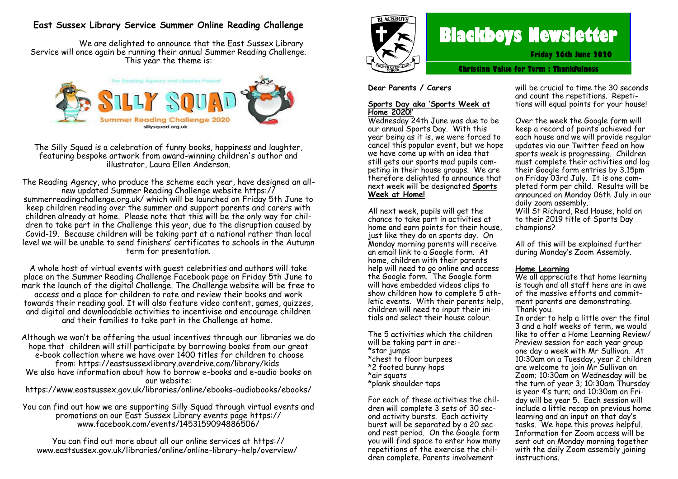# **East Sussex Library Service Summer Online Reading Challenge**

We are delighted to announce that the East Sussex Library Service will once again be running their annual Summer Reading Challenge. This year the theme is:



The Silly Squad is a celebration of funny books, happiness and laughter, featuring bespoke artwork from award-winning children's author and illustrator, Laura Ellen Anderson.

The Reading Agency, who produce the scheme each year, have designed an allnew updated Summer Reading Challenge website https:// summerreadingchallenge.org.uk/ which will be launched on Friday 5th June to keep children reading over the summer and support parents and carers with children already at home. Please note that this will be the only way for children to take part in the Challenge this year, due to the disruption caused by Covid-19. Because children will be taking part at a national rather than local level we will be unable to send finishers' certificates to schools in the Autumn term for presentation.

A whole host of virtual events with guest celebrities and authors will take place on the Summer Reading Challenge Facebook page on Friday 5th June to mark the launch of the digital Challenge. The Challenge website will be free to access and a place for children to rate and review their books and work towards their reading goal. It will also feature video content, games, quizzes, and digital and downloadable activities to incentivise and encourage children and their families to take part in the Challenge at home.

Although we won't be offering the usual incentives through our libraries we do hope that children will still participate by borrowing books from our great e-book collection where we have over 1400 titles for children to choose from: https://eastsussexlibrary.overdrive.com/library/kids We also have information about how to borrow e-books and e-audio books on our website: https://www.eastsussex.gov.uk/libraries/online/ebooks-audiobooks/ebooks/

You can find out how we are supporting Silly Squad through virtual events and promotions on our East Sussex Library events page https:// www.facebook.com/events/1453159094886506/

You can find out more about all our online services at https:// www.eastsussex.gov.uk/libraries/online/online-library-help/overview/



# **Blackboys Newsletter**

**Friday 26th June 2020**

**Christian Value for Term : Thankfulness**

**Dear Parents / Carers**

#### **Sports Day aka 'Sports Week at Home 2020!'**

Wednesday 24th June was due to be our annual Sports Day. With this year being as it is, we were forced to cancel this popular event, but we hope we have come up with an idea that still gets our sports mad pupils competing in their house groups. We are therefore delighted to announce that next week will be designated **Sports Week at Home!**

All next week, pupils will get the chance to take part in activities at home and earn points for their house, just like they do on sports day. On Monday morning parents will receive an email link to a Google form. At home, children with their parents help will need to go online and access the Google form. The Google form will have embedded videos clips to show children how to complete 5 athletic events. With their parents help, children will need to input their initials and select their house colour.

The 5 activities which the children will be taking part in are:- \*star jumps \*chest to floor burpees \*2 footed bunny hops \*air squats \*plank shoulder taps

For each of these activities the children will complete 3 sets of 30 second activity bursts. Each activity burst will be separated by a 20 second rest period. On the Google form you will find space to enter how many repetitions of the exercise the children complete. Parents involvement

will be crucial to time the 30 seconds and count the repetitions. Repetitions will equal points for your house!

Over the week the Google form will keep a record of points achieved for each house and we will provide regular updates via our Twitter feed on how sports week is progressing. Children must complete their activities and log their Google form entries by 3.15pm on Friday 03rd July. It is one completed form per child. Results will be announced on Monday 06th July in our daily zoom assembly.

Will St Richard, Red House, hold on to their 2019 title of Sports Day champions?

All of this will be explained further during Monday's Zoom Assembly.

#### **Home Learning**

We all appreciate that home learning is tough and all staff here are in awe of the massive efforts and commitment parents are demonstrating. Thank you.

In order to help a little over the final 3 and a half weeks of term, we would like to offer a Home Learning Review/ Preview session for each year group one day a week with Mr Sullivan. At 10:30am on a Tuesday, year 2 children are welcome to join Mr Sullivan on Zoom; 10:30am on Wednesday will be the turn of year 3; 10:30am Thursday is year 4's turn; and 10:30am on Friday will be year 5. Each session will include a little recap on previous home learning and an input on that day's tasks. We hope this proves helpful. Information for Zoom access will be sent out on Monday morning together with the daily Zoom assembly joining instructions.